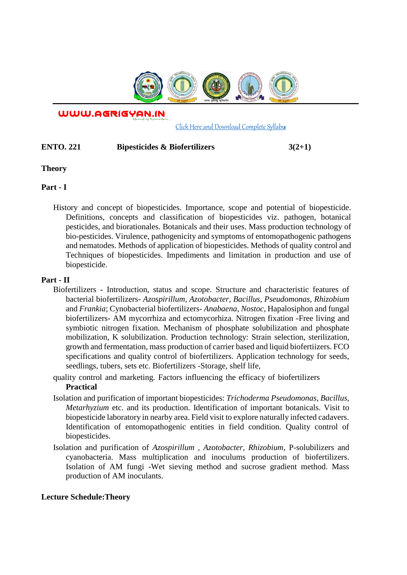

WWW.AGRIGYAN.IN

[Click Here and Download Complete Syllabus](http://agrigyan.in/)

# **ENTO. 221** Bipesticides & Biofertilizers  $3(2+1)$

### **Theory**

 $\overline{a}$ 

# **Part - I**

History and concept of biopesticides. Importance, scope and potential of biopesticide. Definitions, concepts and classification of biopesticides viz. pathogen, botanical pesticides, and biorationales. Botanicals and their uses. Mass production technology of bio-pesticides. Virulence, pathogenicity and symptoms of entomopathogenic pathogens and nematodes. Methods of application of biopesticides. Methods of quality control and Techniques of biopesticides. Impediments and limitation in production and use of biopesticide.

## **Part - II**

- Biofertilizers Introduction, status and scope. Structure and characteristic features of bacterial biofertilizers- *Azospirillum, Azotobacter, Bacillus, Pseudomonas, Rhizobium*  and *Frankia*; Cynobacterial biofertilizers- *Anabaena*, *Nostoc*, Hapalosiphon and fungal biofertilizers- AM mycorrhiza and ectomycorhiza. Nitrogen fixation -Free living and symbiotic nitrogen fixation. Mechanism of phosphate solubilization and phosphate mobilization, K solubilization. Production technology: Strain selection, sterilization, growth and fermentation, mass production of carrier based and liquid biofertiizers. FCO specifications and quality control of biofertilizers. Application technology for seeds, seedlings, tubers, sets etc. Biofertilizers -Storage, shelf life,
- quality control and marketing. Factors influencing the efficacy of biofertilizers **Practical**
- Isolation and purification of important biopesticides: *Trichoderma Pseudomonas, Bacillus, Metarhyzium* etc. and its production. Identification of important botanicals. Visit to biopesticide laboratory in nearby area. Field visit to explore naturally infected cadavers. Identification of entomopathogenic entities in field condition. Quality control of biopesticides.
- Isolation and purification of *Azospirillum , Azotobacter, Rhizobium*, P-solubilizers and cyanobacteria. Mass multiplication and inoculums production of biofertilizers. Isolation of AM fungi -Wet sieving method and sucrose gradient method. Mass production of AM inoculants.

### **Lecture Schedule:Theory**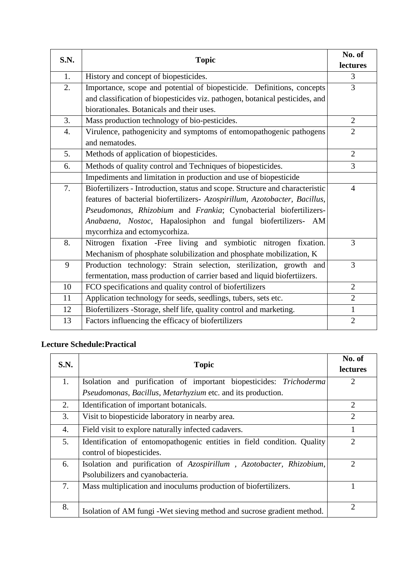| S.N. | <b>Topic</b>                                                                  | No. of         |
|------|-------------------------------------------------------------------------------|----------------|
|      |                                                                               | lectures       |
| 1.   | History and concept of biopesticides.                                         | 3              |
| 2.   | Importance, scope and potential of biopesticide. Definitions, concepts        | 3              |
|      | and classification of biopesticides viz. pathogen, botanical pesticides, and  |                |
|      | biorationales. Botanicals and their uses.                                     |                |
| 3.   | Mass production technology of bio-pesticides.                                 | $\overline{2}$ |
| 4.   | Virulence, pathogenicity and symptoms of entomopathogenic pathogens           | $\overline{2}$ |
|      | and nematodes.                                                                |                |
| 5.   | Methods of application of biopesticides.                                      | $\overline{2}$ |
| 6.   | Methods of quality control and Techniques of biopesticides.                   | 3              |
|      | Impediments and limitation in production and use of biopesticide              |                |
| 7.   | Biofertilizers - Introduction, status and scope. Structure and characteristic | $\overline{4}$ |
|      | features of bacterial biofertilizers- Azospirillum, Azotobacter, Bacillus,    |                |
|      | Pseudomonas, Rhizobium and Frankia; Cynobacterial biofertilizers-             |                |
|      | Anabaena, Nostoc, Hapalosiphon and fungal biofertilizers- AM                  |                |
|      | mycorrhiza and ectomycorhiza.                                                 |                |
| 8.   | Nitrogen fixation -Free living and symbiotic nitrogen fixation.               | 3              |
|      | Mechanism of phosphate solubilization and phosphate mobilization, K           |                |
| 9    | Production technology: Strain selection, sterilization, growth and            | 3              |
|      | fermentation, mass production of carrier based and liquid biofertiizers.      |                |
| 10   | FCO specifications and quality control of biofertilizers                      | $\overline{2}$ |
| 11   | Application technology for seeds, seedlings, tubers, sets etc.                | $\overline{2}$ |
| 12   | Biofertilizers -Storage, shelf life, quality control and marketing.           | $\mathbf{1}$   |
| 13   | Factors influencing the efficacy of biofertilizers                            | $\overline{2}$ |

# **Lecture Schedule:Practical**

| S.N. | <b>Topic</b>                                                            | No. of<br><b>lectures</b>   |
|------|-------------------------------------------------------------------------|-----------------------------|
| 1.   | Isolation and purification of important biopesticides: Trichoderma      | $\overline{2}$              |
|      | Pseudomonas, Bacillus, Metarhyzium etc. and its production.             |                             |
| 2.   | Identification of important botanicals.                                 | $\overline{2}$              |
| 3.   | Visit to biopesticide laboratory in nearby area.                        | $\overline{2}$              |
| 4.   | Field visit to explore naturally infected cadavers.                     |                             |
| 5.   | Identification of entomopathogenic entities in field condition. Quality | $\mathcal{D}_{\cdot}$       |
|      | control of biopesticides.                                               |                             |
| 6.   | Isolation and purification of Azospirillum, Azotobacter, Rhizobium,     | $\mathcal{D}_{\cdot}$       |
|      | Psolubilizers and cyanobacteria.                                        |                             |
| 7.   | Mass multiplication and inoculums production of biofertilizers.         |                             |
|      |                                                                         |                             |
| 8.   | Isolation of AM fungi - Wet sieving method and sucrose gradient method. | $\mathcal{D}_{\mathcal{L}}$ |